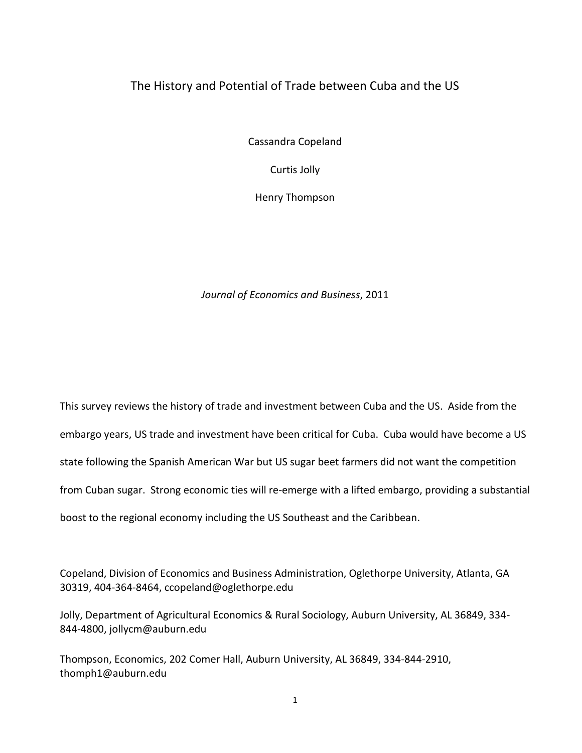# The History and Potential of Trade between Cuba and the US

Cassandra Copeland

Curtis Jolly

Henry Thompson

*Journal of Economics and Business*, 2011

This survey reviews the history of trade and investment between Cuba and the US. Aside from the embargo years, US trade and investment have been critical for Cuba. Cuba would have become a US state following the Spanish American War but US sugar beet farmers did not want the competition from Cuban sugar. Strong economic ties will re-emerge with a lifted embargo, providing a substantial boost to the regional economy including the US Southeast and the Caribbean.

Copeland, Division of Economics and Business Administration, Oglethorpe University, Atlanta, GA 30319, 404-364-8464, ccopeland@oglethorpe.edu

Jolly, Department of Agricultural Economics & Rural Sociology, Auburn University, AL 36849, 334- 844-4800, [jollycm@auburn.edu](mailto:jollycm@auburn.edu)

Thompson, Economics, 202 Comer Hall, Auburn University, AL 36849, 334-844-2910, thomph1@auburn.edu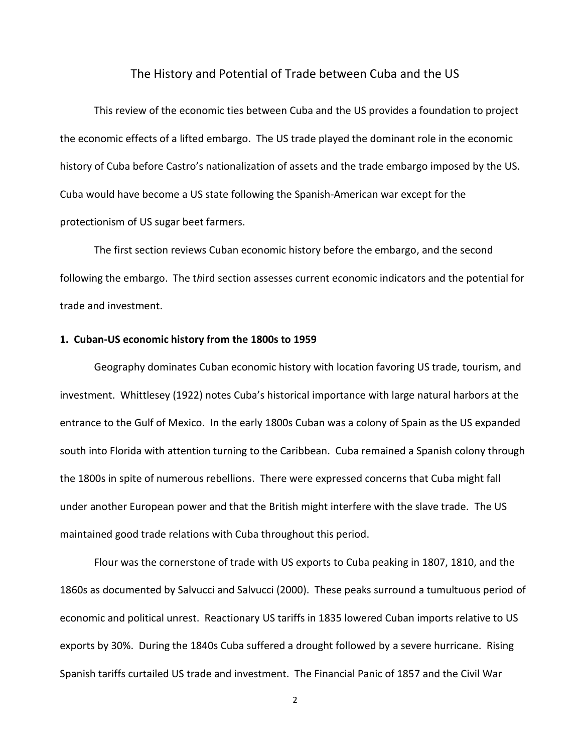# The History and Potential of Trade between Cuba and the US

This review of the economic ties between Cuba and the US provides a foundation to project the economic effects of a lifted embargo. The US trade played the dominant role in the economic history of Cuba before Castro's nationalization of assets and the trade embargo imposed by the US. Cuba would have become a US state following the Spanish-American war except for the protectionism of US sugar beet farmers.

The first section reviews Cuban economic history before the embargo, and the second following the embargo. The t*h*ird section assesses current economic indicators and the potential for trade and investment.

## **1. Cuban-US economic history from the 1800s to 1959**

Geography dominates Cuban economic history with location favoring US trade, tourism, and investment. Whittlesey (1922) notes Cuba's historical importance with large natural harbors at the entrance to the Gulf of Mexico. In the early 1800s Cuban was a colony of Spain as the US expanded south into Florida with attention turning to the Caribbean. Cuba remained a Spanish colony through the 1800s in spite of numerous rebellions. There were expressed concerns that Cuba might fall under another European power and that the British might interfere with the slave trade. The US maintained good trade relations with Cuba throughout this period.

Flour was the cornerstone of trade with US exports to Cuba peaking in 1807, 1810, and the 1860s as documented by Salvucci and Salvucci (2000). These peaks surround a tumultuous period of economic and political unrest. Reactionary US tariffs in 1835 lowered Cuban imports relative to US exports by 30%. During the 1840s Cuba suffered a drought followed by a severe hurricane. Rising Spanish tariffs curtailed US trade and investment. The Financial Panic of 1857 and the Civil War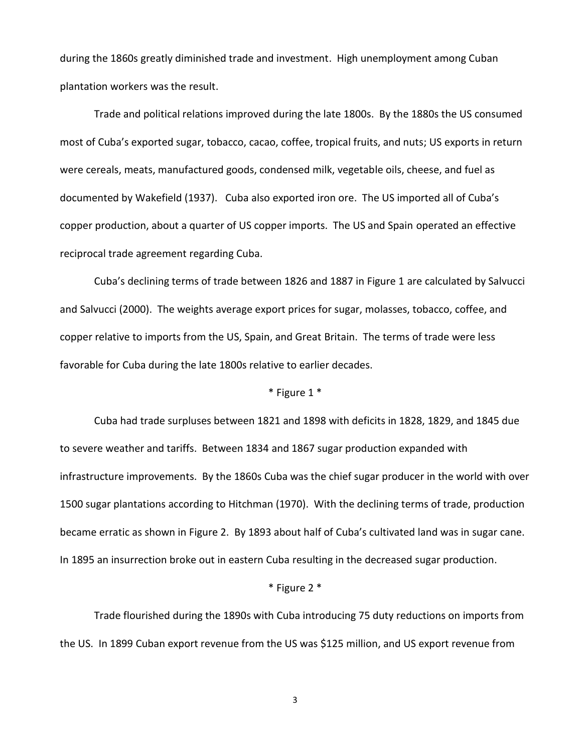during the 1860s greatly diminished trade and investment. High unemployment among Cuban plantation workers was the result.

Trade and political relations improved during the late 1800s. By the 1880s the US consumed most of Cuba's exported sugar, tobacco, cacao, coffee, tropical fruits, and nuts; US exports in return were cereals, meats, manufactured goods, condensed milk, vegetable oils, cheese, and fuel as documented by Wakefield (1937). Cuba also exported iron ore. The US imported all of Cuba's copper production, about a quarter of US copper imports. The US and Spain operated an effective reciprocal trade agreement regarding Cuba.

Cuba's declining terms of trade between 1826 and 1887 in Figure 1 are calculated by Salvucci and Salvucci (2000). The weights average export prices for sugar, molasses, tobacco, coffee, and copper relative to imports from the US, Spain, and Great Britain. The terms of trade were less favorable for Cuba during the late 1800s relative to earlier decades.

# \* Figure 1 \*

Cuba had trade surpluses between 1821 and 1898 with deficits in 1828, 1829, and 1845 due to severe weather and tariffs. Between 1834 and 1867 sugar production expanded with infrastructure improvements. By the 1860s Cuba was the chief sugar producer in the world with over 1500 sugar plantations according to Hitchman (1970). With the declining terms of trade, production became erratic as shown in Figure 2. By 1893 about half of Cuba's cultivated land was in sugar cane. In 1895 an insurrection broke out in eastern Cuba resulting in the decreased sugar production.

#### \* Figure 2 \*

Trade flourished during the 1890s with Cuba introducing 75 duty reductions on imports from the US. In 1899 Cuban export revenue from the US was \$125 million, and US export revenue from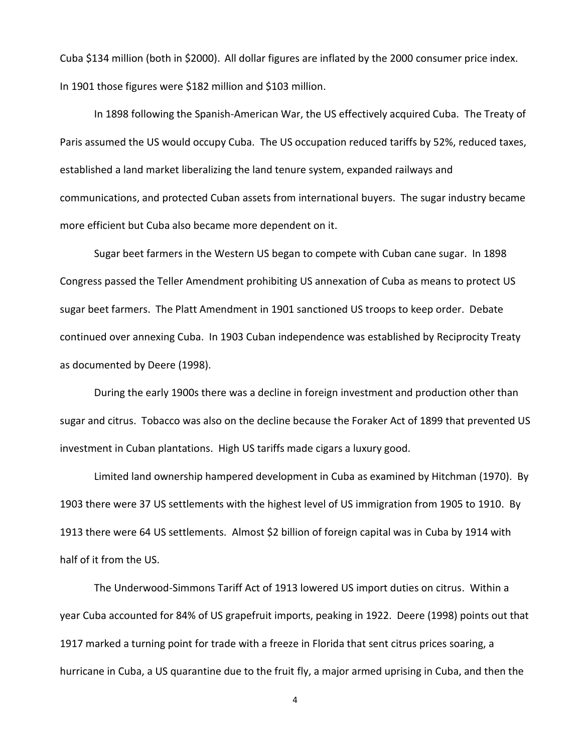Cuba \$134 million (both in \$2000). All dollar figures are inflated by the 2000 consumer price index. In 1901 those figures were \$182 million and \$103 million.

In 1898 following the Spanish-American War, the US effectively acquired Cuba. The Treaty of Paris assumed the US would occupy Cuba. The US occupation reduced tariffs by 52%, reduced taxes, established a land market liberalizing the land tenure system, expanded railways and communications, and protected Cuban assets from international buyers. The sugar industry became more efficient but Cuba also became more dependent on it.

Sugar beet farmers in the Western US began to compete with Cuban cane sugar. In 1898 Congress passed the Teller Amendment prohibiting US annexation of Cuba as means to protect US sugar beet farmers. The Platt Amendment in 1901 sanctioned US troops to keep order. Debate continued over annexing Cuba. In 1903 Cuban independence was established by Reciprocity Treaty as documented by Deere (1998).

During the early 1900s there was a decline in foreign investment and production other than sugar and citrus. Tobacco was also on the decline because the Foraker Act of 1899 that prevented US investment in Cuban plantations. High US tariffs made cigars a luxury good.

Limited land ownership hampered development in Cuba as examined by Hitchman (1970). By 1903 there were 37 US settlements with the highest level of US immigration from 1905 to 1910. By 1913 there were 64 US settlements. Almost \$2 billion of foreign capital was in Cuba by 1914 with half of it from the US.

The Underwood-Simmons Tariff Act of 1913 lowered US import duties on citrus. Within a year Cuba accounted for 84% of US grapefruit imports, peaking in 1922. Deere (1998) points out that 1917 marked a turning point for trade with a freeze in Florida that sent citrus prices soaring, a hurricane in Cuba, a US quarantine due to the fruit fly, a major armed uprising in Cuba, and then the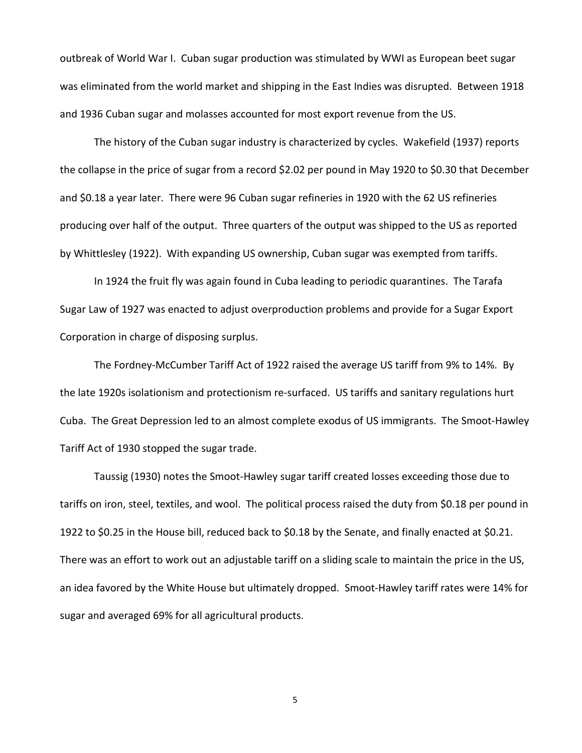outbreak of World War I. Cuban sugar production was stimulated by WWI as European beet sugar was eliminated from the world market and shipping in the East Indies was disrupted. Between 1918 and 1936 Cuban sugar and molasses accounted for most export revenue from the US.

The history of the Cuban sugar industry is characterized by cycles. Wakefield (1937) reports the collapse in the price of sugar from a record \$2.02 per pound in May 1920 to \$0.30 that December and \$0.18 a year later. There were 96 Cuban sugar refineries in 1920 with the 62 US refineries producing over half of the output. Three quarters of the output was shipped to the US as reported by Whittlesley (1922). With expanding US ownership, Cuban sugar was exempted from tariffs.

In 1924 the fruit fly was again found in Cuba leading to periodic quarantines. The Tarafa Sugar Law of 1927 was enacted to adjust overproduction problems and provide for a Sugar Export Corporation in charge of disposing surplus.

The Fordney-McCumber Tariff Act of 1922 raised the average US tariff from 9% to 14%. By the late 1920s isolationism and protectionism re-surfaced. US tariffs and sanitary regulations hurt Cuba. The Great Depression led to an almost complete exodus of US immigrants. The Smoot-Hawley Tariff Act of 1930 stopped the sugar trade.

Taussig (1930) notes the Smoot-Hawley sugar tariff created losses exceeding those due to tariffs on iron, steel, textiles, and wool. The political process raised the duty from \$0.18 per pound in 1922 to \$0.25 in the House bill, reduced back to \$0.18 by the Senate, and finally enacted at \$0.21. There was an effort to work out an adjustable tariff on a sliding scale to maintain the price in the US, an idea favored by the White House but ultimately dropped. Smoot-Hawley tariff rates were 14% for sugar and averaged 69% for all agricultural products.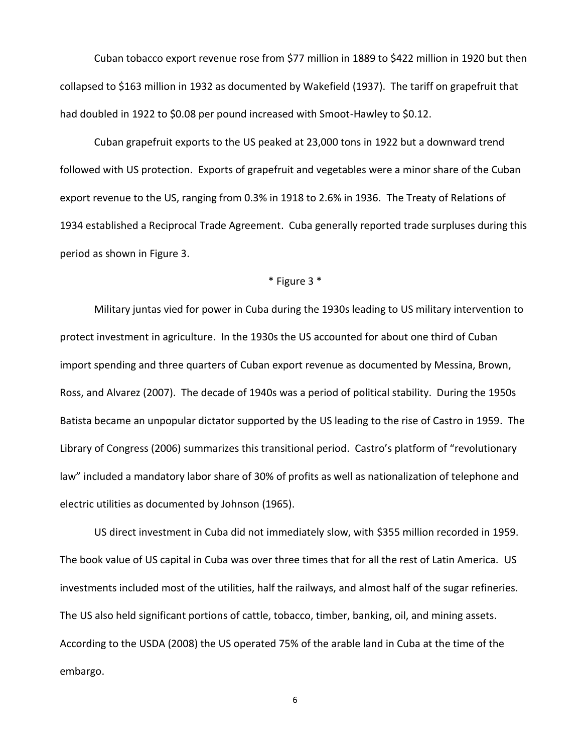Cuban tobacco export revenue rose from \$77 million in 1889 to \$422 million in 1920 but then collapsed to \$163 million in 1932 as documented by Wakefield (1937). The tariff on grapefruit that had doubled in 1922 to \$0.08 per pound increased with Smoot-Hawley to \$0.12.

Cuban grapefruit exports to the US peaked at 23,000 tons in 1922 but a downward trend followed with US protection. Exports of grapefruit and vegetables were a minor share of the Cuban export revenue to the US, ranging from 0.3% in 1918 to 2.6% in 1936. The Treaty of Relations of 1934 established a Reciprocal Trade Agreement. Cuba generally reported trade surpluses during this period as shown in Figure 3.

### \* Figure 3 \*

Military juntas vied for power in Cuba during the 1930s leading to US military intervention to protect investment in agriculture. In the 1930s the US accounted for about one third of Cuban import spending and three quarters of Cuban export revenue as documented by Messina, Brown, Ross, and Alvarez (2007). The decade of 1940s was a period of political stability. During the 1950s Batista became an unpopular dictator supported by the US leading to the rise of Castro in 1959. The Library of Congress (2006) summarizes this transitional period. Castro's platform of "revolutionary law" included a mandatory labor share of 30% of profits as well as nationalization of telephone and electric utilities as documented by Johnson (1965).

US direct investment in Cuba did not immediately slow, with \$355 million recorded in 1959. The book value of US capital in Cuba was over three times that for all the rest of Latin America. US investments included most of the utilities, half the railways, and almost half of the sugar refineries. The US also held significant portions of cattle, tobacco, timber, banking, oil, and mining assets. According to the USDA (2008) the US operated 75% of the arable land in Cuba at the time of the embargo.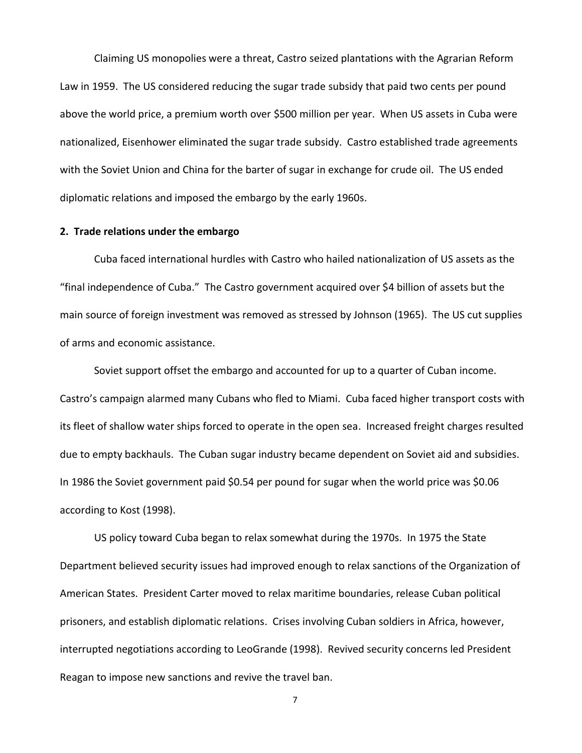Claiming US monopolies were a threat, Castro seized plantations with the Agrarian Reform Law in 1959. The US considered reducing the sugar trade subsidy that paid two cents per pound above the world price, a premium worth over \$500 million per year. When US assets in Cuba were nationalized, Eisenhower eliminated the sugar trade subsidy. Castro established trade agreements with the Soviet Union and China for the barter of sugar in exchange for crude oil. The US ended diplomatic relations and imposed the embargo by the early 1960s.

### **2. Trade relations under the embargo**

Cuba faced international hurdles with Castro who hailed nationalization of US assets as the "final independence of Cuba." The Castro government acquired over \$4 billion of assets but the main source of foreign investment was removed as stressed by Johnson (1965). The US cut supplies of arms and economic assistance.

Soviet support offset the embargo and accounted for up to a quarter of Cuban income. Castro's campaign alarmed many Cubans who fled to Miami. Cuba faced higher transport costs with its fleet of shallow water ships forced to operate in the open sea. Increased freight charges resulted due to empty backhauls. The Cuban sugar industry became dependent on Soviet aid and subsidies. In 1986 the Soviet government paid \$0.54 per pound for sugar when the world price was \$0.06 according to Kost (1998).

US policy toward Cuba began to relax somewhat during the 1970s. In 1975 the State Department believed security issues had improved enough to relax sanctions of the Organization of American States. President Carter moved to relax maritime boundaries, release Cuban political prisoners, and establish diplomatic relations. Crises involving Cuban soldiers in Africa, however, interrupted negotiations according to LeoGrande (1998). Revived security concerns led President Reagan to impose new sanctions and revive the travel ban.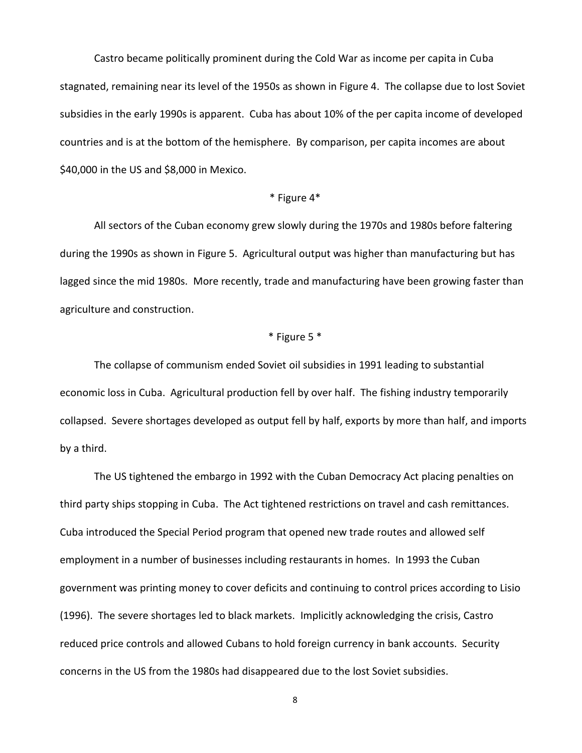Castro became politically prominent during the Cold War as income per capita in Cuba stagnated, remaining near its level of the 1950s as shown in Figure 4. The collapse due to lost Soviet subsidies in the early 1990s is apparent. Cuba has about 10% of the per capita income of developed countries and is at the bottom of the hemisphere. By comparison, per capita incomes are about \$40,000 in the US and \$8,000 in Mexico.

#### \* Figure 4\*

All sectors of the Cuban economy grew slowly during the 1970s and 1980s before faltering during the 1990s as shown in Figure 5. Agricultural output was higher than manufacturing but has lagged since the mid 1980s. More recently, trade and manufacturing have been growing faster than agriculture and construction.

# \* Figure 5 \*

The collapse of communism ended Soviet oil subsidies in 1991 leading to substantial economic loss in Cuba. Agricultural production fell by over half. The fishing industry temporarily collapsed. Severe shortages developed as output fell by half, exports by more than half, and imports by a third.

The US tightened the embargo in 1992 with the Cuban Democracy Act placing penalties on third party ships stopping in Cuba. The Act tightened restrictions on travel and cash remittances. Cuba introduced the Special Period program that opened new trade routes and allowed self employment in a number of businesses including restaurants in homes. In 1993 the Cuban government was printing money to cover deficits and continuing to control prices according to Lisio (1996). The severe shortages led to black markets. Implicitly acknowledging the crisis, Castro reduced price controls and allowed Cubans to hold foreign currency in bank accounts. Security concerns in the US from the 1980s had disappeared due to the lost Soviet subsidies.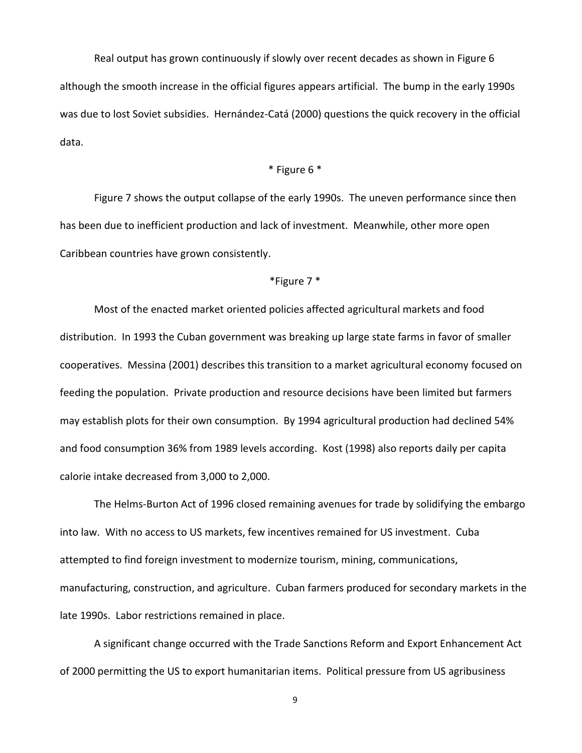Real output has grown continuously if slowly over recent decades as shown in Figure 6 although the smooth increase in the official figures appears artificial. The bump in the early 1990s was due to lost Soviet subsidies. Hernández-Catá (2000) questions the quick recovery in the official data.

### \* Figure 6 \*

Figure 7 shows the output collapse of the early 1990s. The uneven performance since then has been due to inefficient production and lack of investment. Meanwhile, other more open Caribbean countries have grown consistently.

### \*Figure 7 \*

Most of the enacted market oriented policies affected agricultural markets and food distribution. In 1993 the Cuban government was breaking up large state farms in favor of smaller cooperatives. Messina (2001) describes this transition to a market agricultural economy focused on feeding the population. Private production and resource decisions have been limited but farmers may establish plots for their own consumption. By 1994 agricultural production had declined 54% and food consumption 36% from 1989 levels according. Kost (1998) also reports daily per capita calorie intake decreased from 3,000 to 2,000.

The Helms-Burton Act of 1996 closed remaining avenues for trade by solidifying the embargo into law. With no access to US markets, few incentives remained for US investment. Cuba attempted to find foreign investment to modernize tourism, mining, communications, manufacturing, construction, and agriculture. Cuban farmers produced for secondary markets in the late 1990s. Labor restrictions remained in place.

A significant change occurred with the Trade Sanctions Reform and Export Enhancement Act of 2000 permitting the US to export humanitarian items. Political pressure from US agribusiness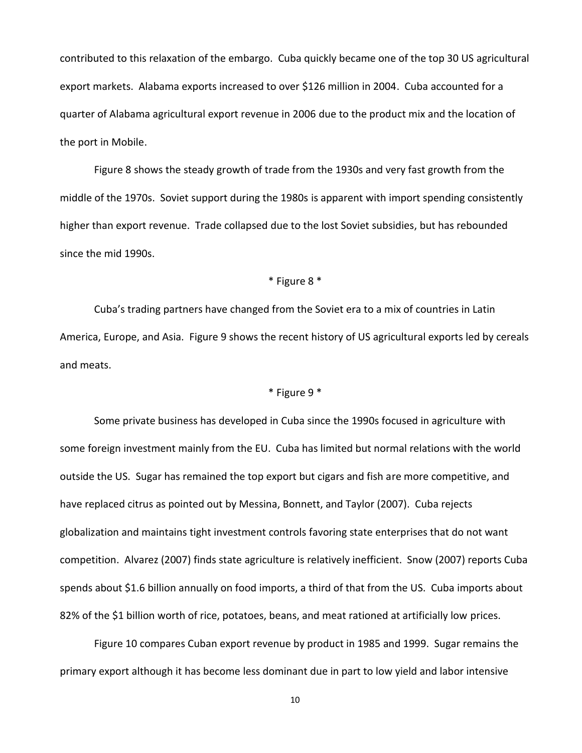contributed to this relaxation of the embargo. Cuba quickly became one of the top 30 US agricultural export markets. Alabama exports increased to over \$126 million in 2004. Cuba accounted for a quarter of Alabama agricultural export revenue in 2006 due to the product mix and the location of the port in Mobile.

Figure 8 shows the steady growth of trade from the 1930s and very fast growth from the middle of the 1970s. Soviet support during the 1980s is apparent with import spending consistently higher than export revenue. Trade collapsed due to the lost Soviet subsidies, but has rebounded since the mid 1990s.

### \* Figure 8 \*

Cuba's trading partners have changed from the Soviet era to a mix of countries in Latin America, Europe, and Asia. Figure 9 shows the recent history of US agricultural exports led by cereals and meats.

# \* Figure 9 \*

Some private business has developed in Cuba since the 1990s focused in agriculture with some foreign investment mainly from the EU. Cuba has limited but normal relations with the world outside the US. Sugar has remained the top export but cigars and fish are more competitive, and have replaced citrus as pointed out by Messina, Bonnett, and Taylor (2007). Cuba rejects globalization and maintains tight investment controls favoring state enterprises that do not want competition. Alvarez (2007) finds state agriculture is relatively inefficient. Snow (2007) reports Cuba spends about \$1.6 billion annually on food imports, a third of that from the US. Cuba imports about 82% of the \$1 billion worth of rice, potatoes, beans, and meat rationed at artificially low prices.

Figure 10 compares Cuban export revenue by product in 1985 and 1999. Sugar remains the primary export although it has become less dominant due in part to low yield and labor intensive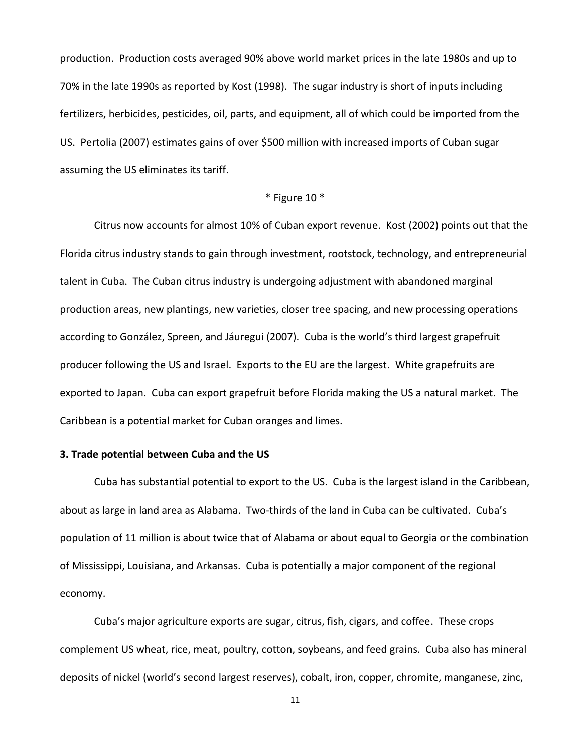production. Production costs averaged 90% above world market prices in the late 1980s and up to 70% in the late 1990s as reported by Kost (1998). The sugar industry is short of inputs including fertilizers, herbicides, pesticides, oil, parts, and equipment, all of which could be imported from the US. Pertolia (2007) estimates gains of over \$500 million with increased imports of Cuban sugar assuming the US eliminates its tariff.

#### \* Figure 10 \*

Citrus now accounts for almost 10% of Cuban export revenue. Kost (2002) points out that the Florida citrus industry stands to gain through investment, rootstock, technology, and entrepreneurial talent in Cuba. The Cuban citrus industry is undergoing adjustment with abandoned marginal production areas, new plantings, new varieties, closer tree spacing, and new processing operations according to González, Spreen, and Jáuregui (2007). Cuba is the world's third largest grapefruit producer following the US and Israel. Exports to the EU are the largest. White grapefruits are exported to Japan. Cuba can export grapefruit before Florida making the US a natural market. The Caribbean is a potential market for Cuban oranges and limes.

# **3. Trade potential between Cuba and the US**

Cuba has substantial potential to export to the US. Cuba is the largest island in the Caribbean, about as large in land area as Alabama. Two-thirds of the land in Cuba can be cultivated. Cuba's population of 11 million is about twice that of Alabama or about equal to Georgia or the combination of Mississippi, Louisiana, and Arkansas. Cuba is potentially a major component of the regional economy.

Cuba's major agriculture exports are sugar, citrus, fish, cigars, and coffee. These crops complement US wheat, rice, meat, poultry, cotton, soybeans, and feed grains. Cuba also has mineral deposits of nickel (world's second largest reserves), cobalt, iron, copper, chromite, manganese, zinc,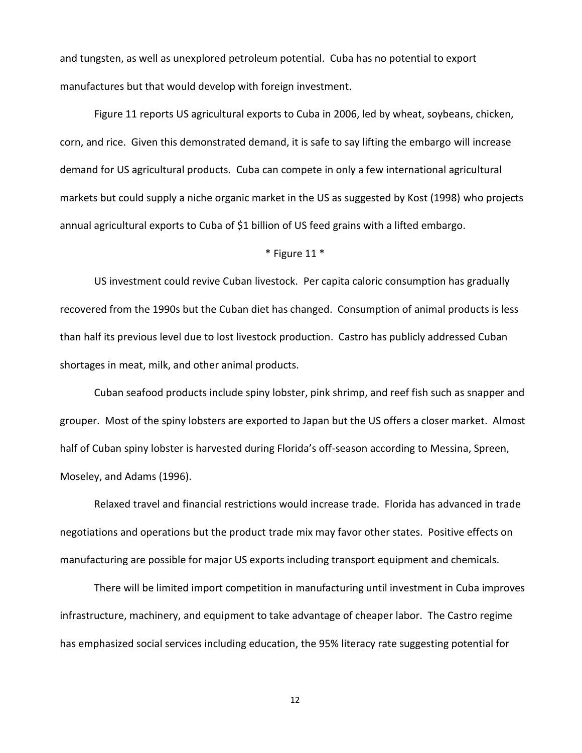and tungsten, as well as unexplored petroleum potential. Cuba has no potential to export manufactures but that would develop with foreign investment.

Figure 11 reports US agricultural exports to Cuba in 2006, led by wheat, soybeans, chicken, corn, and rice. Given this demonstrated demand, it is safe to say lifting the embargo will increase demand for US agricultural products. Cuba can compete in only a few international agricultural markets but could supply a niche organic market in the US as suggested by Kost (1998) who projects annual agricultural exports to Cuba of \$1 billion of US feed grains with a lifted embargo.

#### \* Figure 11 \*

US investment could revive Cuban livestock. Per capita caloric consumption has gradually recovered from the 1990s but the Cuban diet has changed. Consumption of animal products is less than half its previous level due to lost livestock production. Castro has publicly addressed Cuban shortages in meat, milk, and other animal products.

Cuban seafood products include spiny lobster, pink shrimp, and reef fish such as snapper and grouper. Most of the spiny lobsters are exported to Japan but the US offers a closer market. Almost half of Cuban spiny lobster is harvested during Florida's off-season according to Messina, Spreen, Moseley, and Adams (1996).

Relaxed travel and financial restrictions would increase trade. Florida has advanced in trade negotiations and operations but the product trade mix may favor other states. Positive effects on manufacturing are possible for major US exports including transport equipment and chemicals.

There will be limited import competition in manufacturing until investment in Cuba improves infrastructure, machinery, and equipment to take advantage of cheaper labor. The Castro regime has emphasized social services including education, the 95% literacy rate suggesting potential for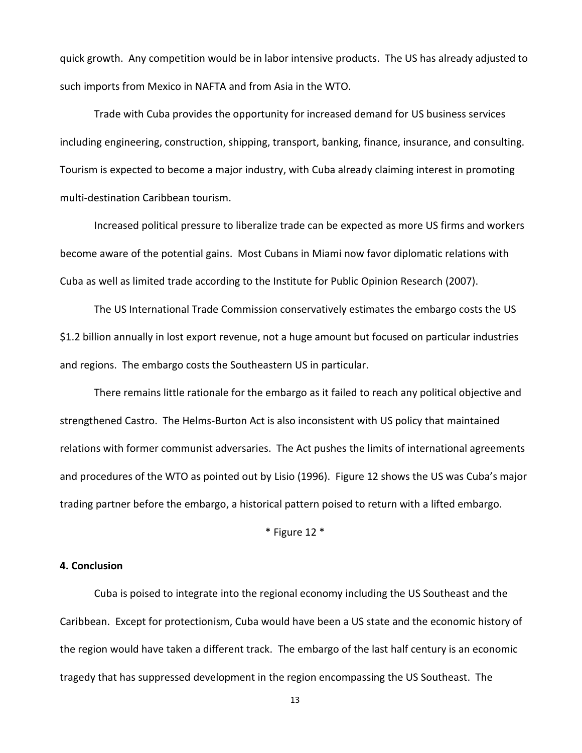quick growth. Any competition would be in labor intensive products. The US has already adjusted to such imports from Mexico in NAFTA and from Asia in the WTO.

Trade with Cuba provides the opportunity for increased demand for US business services including engineering, construction, shipping, transport, banking, finance, insurance, and consulting. Tourism is expected to become a major industry, with Cuba already claiming interest in promoting multi-destination Caribbean tourism.

Increased political pressure to liberalize trade can be expected as more US firms and workers become aware of the potential gains. Most Cubans in Miami now favor diplomatic relations with Cuba as well as limited trade according to the Institute for Public Opinion Research (2007).

The US International Trade Commission conservatively estimates the embargo costs the US \$1.2 billion annually in lost export revenue, not a huge amount but focused on particular industries and regions. The embargo costs the Southeastern US in particular.

There remains little rationale for the embargo as it failed to reach any political objective and strengthened Castro. The Helms-Burton Act is also inconsistent with US policy that maintained relations with former communist adversaries. The Act pushes the limits of international agreements and procedures of the WTO as pointed out by Lisio (1996). Figure 12 shows the US was Cuba's major trading partner before the embargo, a historical pattern poised to return with a lifted embargo.

\* Figure 12 \*

# **4. Conclusion**

Cuba is poised to integrate into the regional economy including the US Southeast and the Caribbean. Except for protectionism, Cuba would have been a US state and the economic history of the region would have taken a different track. The embargo of the last half century is an economic tragedy that has suppressed development in the region encompassing the US Southeast. The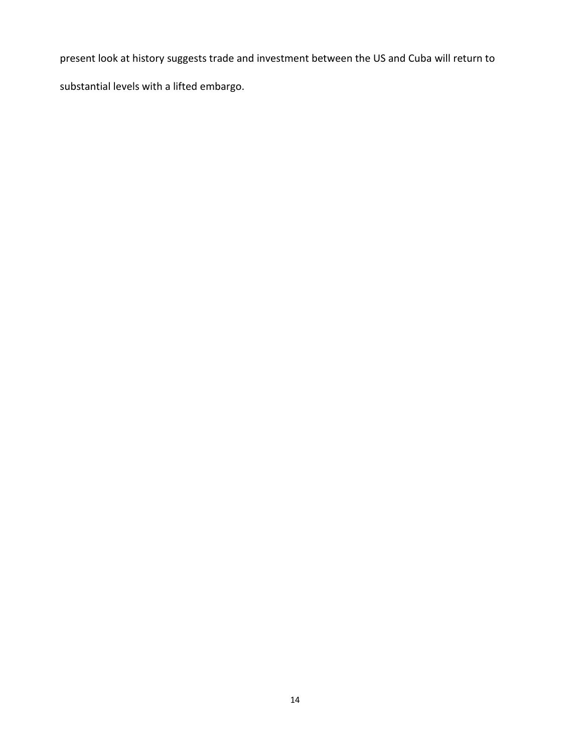present look at history suggests trade and investment between the US and Cuba will return to

substantial levels with a lifted embargo.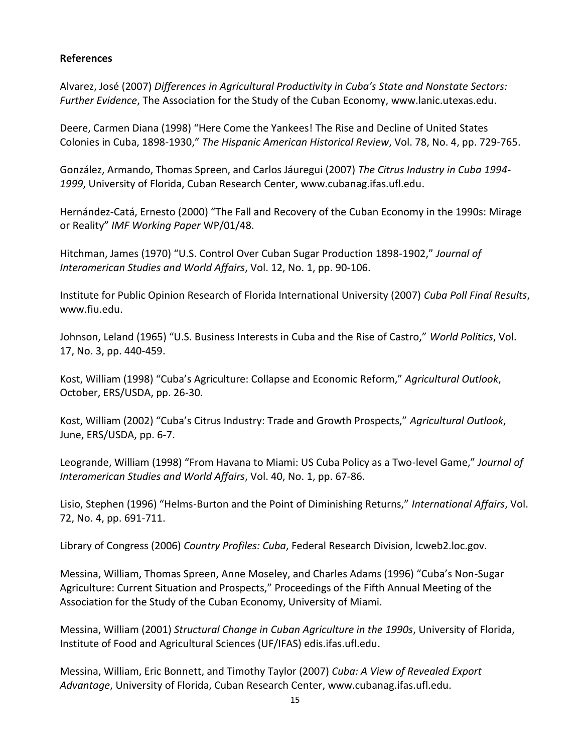# **References**

Alvarez, José (2007) *Differences in Agricultural Productivity in Cuba's State and Nonstate Sectors: Further Evidence*, The Association for the Study of the Cuban Economy, www.lanic.utexas.edu.

Deere, Carmen Diana (1998) "Here Come the Yankees! The Rise and Decline of United States Colonies in Cuba, 1898-1930," *The Hispanic American Historical Review*, Vol. 78, No. 4, pp. 729-765.

González, Armando, Thomas Spreen, and Carlos Jáuregui (2007) *The Citrus Industry in Cuba 1994- 1999*, University of Florida, Cuban Research Center, www.cubanag.ifas.ufl.edu.

Hernández-Catá, Ernesto (2000) "The Fall and Recovery of the Cuban Economy in the 1990s: Mirage or Reality" *IMF Working Paper* WP/01/48.

Hitchman, James (1970) "U.S. Control Over Cuban Sugar Production 1898-1902," *Journal of Interamerican Studies and World Affairs*, Vol. 12, No. 1, pp. 90-106.

Institute for Public Opinion Research of Florida International University (2007) *Cuba Poll Final Results*, www.fiu.edu.

Johnson, Leland (1965) "U.S. Business Interests in Cuba and the Rise of Castro," *World Politics*, Vol. 17, No. 3, pp. 440-459.

Kost, William (1998) "Cuba's Agriculture: Collapse and Economic Reform," *Agricultural Outlook*, October, ERS/USDA, pp. 26-30.

Kost, William (2002) "Cuba's Citrus Industry: Trade and Growth Prospects," *Agricultural Outlook*, June, ERS/USDA, pp. 6-7.

Leogrande, William (1998) "From Havana to Miami: US Cuba Policy as a Two-level Game," *Journal of Interamerican Studies and World Affairs*, Vol. 40, No. 1, pp. 67-86.

Lisio, Stephen (1996) "Helms-Burton and the Point of Diminishing Returns," *International Affairs*, Vol. 72, No. 4, pp. 691-711.

Library of Congress (2006) *Country Profiles: Cuba*, Federal Research Division, lcweb2.loc.gov.

Messina, William, Thomas Spreen, Anne Moseley, and Charles Adams (1996) "Cuba's Non-Sugar Agriculture: Current Situation and Prospects," Proceedings of the Fifth Annual Meeting of the Association for the Study of the Cuban Economy, University of Miami.

Messina, William (2001) *Structural Change in Cuban Agriculture in the 1990s*, University of Florida, Institute of Food and Agricultural Sciences (UF/IFAS) edis.ifas.ufl.edu.

Messina, William, Eric Bonnett, and Timothy Taylor (2007) *Cuba: A View of Revealed Export Advantage*, University of Florida, Cuban Research Center, www.cubanag.ifas.ufl.edu.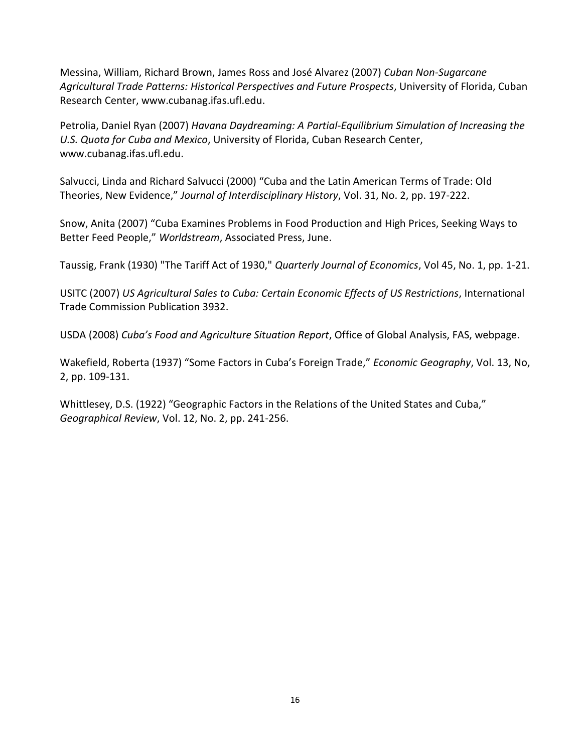Messina, William, Richard Brown, James Ross and José Alvarez (2007) *Cuban Non-Sugarcane Agricultural Trade Patterns: Historical Perspectives and Future Prospects*, University of Florida, Cuban Research Center, www.cubanag.ifas.ufl.edu.

Petrolia, Daniel Ryan (2007) *Havana Daydreaming: A Partial-Equilibrium Simulation of Increasing the U.S. Quota for Cuba and Mexico*, University of Florida, Cuban Research Center, www.cubanag.ifas.ufl.edu.

Salvucci, Linda and Richard Salvucci (2000) "Cuba and the Latin American Terms of Trade: Old Theories, New Evidence," *Journal of Interdisciplinary History*, Vol. 31, No. 2, pp. 197-222.

Snow, Anita (2007) "Cuba Examines Problems in Food Production and High Prices, Seeking Ways to Better Feed People," *Worldstream*, Associated Press, June.

Taussig, Frank (1930) "The Tariff Act of 1930," *Quarterly Journal of Economics*, Vol 45, No. 1, pp. 1-21.

USITC (2007) *US Agricultural Sales to Cuba: Certain Economic Effects of US Restrictions*, International Trade Commission Publication 3932.

USDA (2008) *Cuba's Food and Agriculture Situation Report*, Office of Global Analysis, FAS, webpage.

Wakefield, Roberta (1937) "Some Factors in Cuba's Foreign Trade," *Economic Geography*, Vol. 13, No, 2, pp. 109-131.

Whittlesey, D.S. (1922) "Geographic Factors in the Relations of the United States and Cuba," *Geographical Review*, Vol. 12, No. 2, pp. 241-256.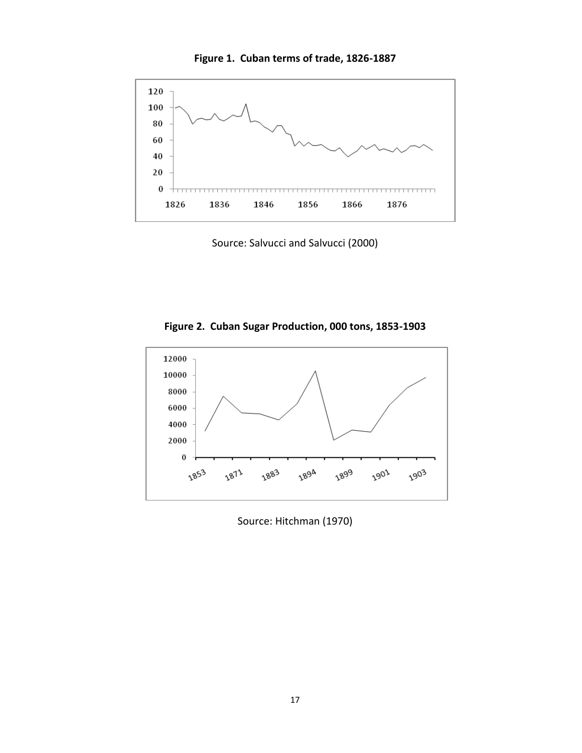



Source: Salvucci and Salvucci (2000)





Source: Hitchman (1970)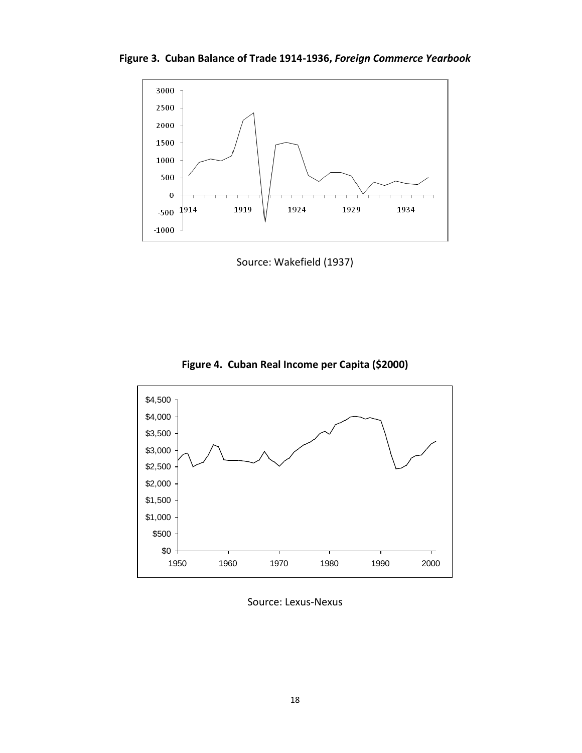**Figure 3. Cuban Balance of Trade 1914-1936,** *Foreign Commerce Yearbook*



Source: Wakefield (1937)





Source: Lexus-Nexus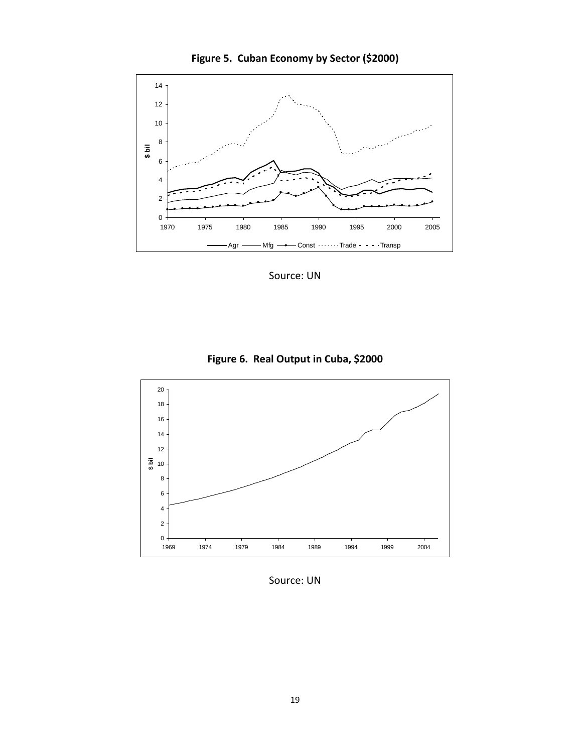



Source: UN





Source: UN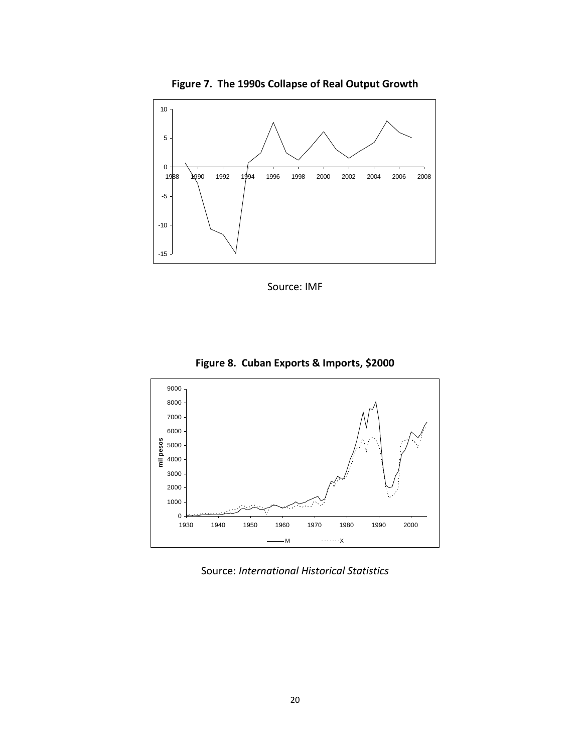

Source: IMF







1940 1950 1960 1970 1980 1990 2000

 $-M$ 

**mil pesos**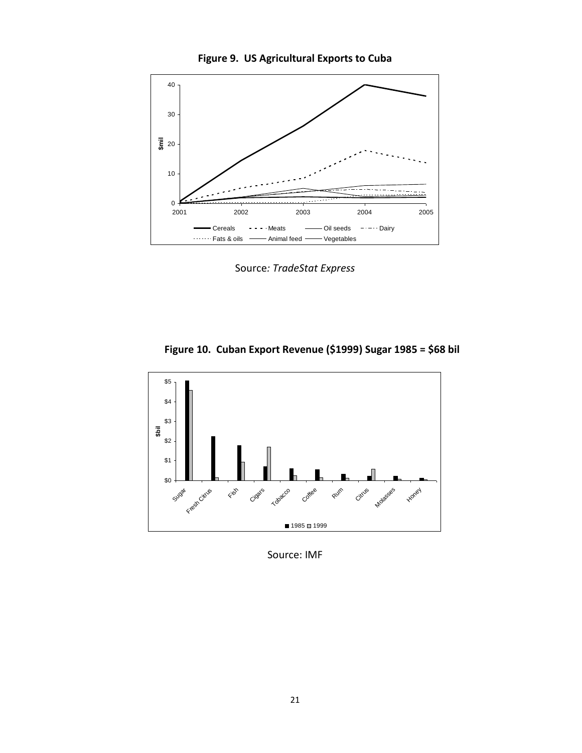



Source*: TradeStat Express*





Source: IMF